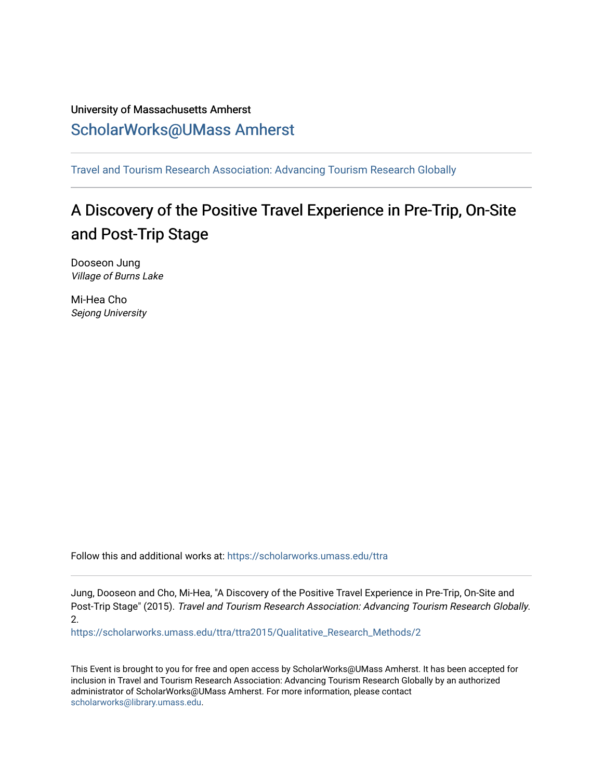# University of Massachusetts Amherst [ScholarWorks@UMass Amherst](https://scholarworks.umass.edu/)

[Travel and Tourism Research Association: Advancing Tourism Research Globally](https://scholarworks.umass.edu/ttra) 

# A Discovery of the Positive Travel Experience in Pre-Trip, On-Site and Post-Trip Stage

Dooseon Jung Village of Burns Lake

Mi-Hea Cho Sejong University

Follow this and additional works at: [https://scholarworks.umass.edu/ttra](https://scholarworks.umass.edu/ttra?utm_source=scholarworks.umass.edu%2Fttra%2Fttra2015%2FQualitative_Research_Methods%2F2&utm_medium=PDF&utm_campaign=PDFCoverPages)

Jung, Dooseon and Cho, Mi-Hea, "A Discovery of the Positive Travel Experience in Pre-Trip, On-Site and Post-Trip Stage" (2015). Travel and Tourism Research Association: Advancing Tourism Research Globally. 2.

[https://scholarworks.umass.edu/ttra/ttra2015/Qualitative\\_Research\\_Methods/2](https://scholarworks.umass.edu/ttra/ttra2015/Qualitative_Research_Methods/2?utm_source=scholarworks.umass.edu%2Fttra%2Fttra2015%2FQualitative_Research_Methods%2F2&utm_medium=PDF&utm_campaign=PDFCoverPages) 

This Event is brought to you for free and open access by ScholarWorks@UMass Amherst. It has been accepted for inclusion in Travel and Tourism Research Association: Advancing Tourism Research Globally by an authorized administrator of ScholarWorks@UMass Amherst. For more information, please contact [scholarworks@library.umass.edu.](mailto:scholarworks@library.umass.edu)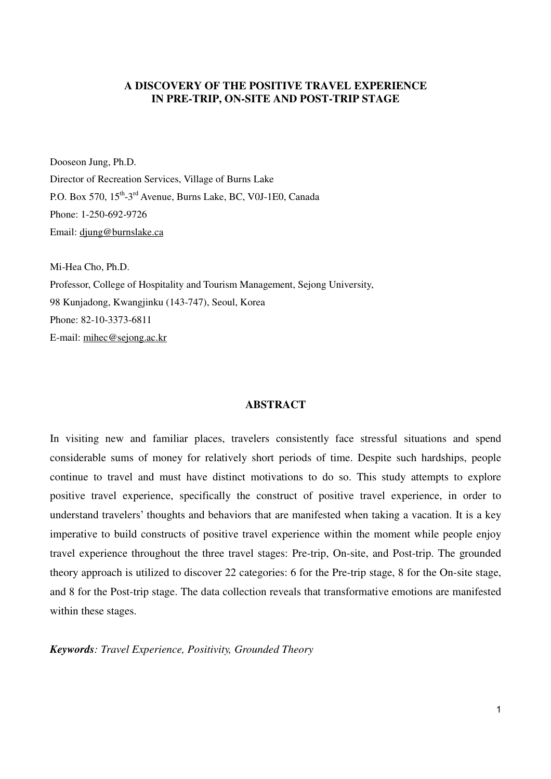## **A DISCOVERY OF THE POSITIVE TRAVEL EXPERIENCE IN PRE-TRIP, ON-SITE AND POST-TRIP STAGE**

Dooseon Jung, Ph.D.

Director of Recreation Services, Village of Burns Lake P.O. Box 570, 15<sup>th</sup>-3<sup>rd</sup> Avenue, Burns Lake, BC, V0J-1E0, Canada Phone: 1-250-692-9726 Email: djung@burnslake.ca

Mi-Hea Cho, Ph.D. Professor, College of Hospitality and Tourism Management, Sejong University, 98 Kunjadong, Kwangjinku (143-747), Seoul, Korea Phone: 82-10-3373-6811 E-mail: mihec@sejong.ac.kr

#### **ABSTRACT**

In visiting new and familiar places, travelers consistently face stressful situations and spend considerable sums of money for relatively short periods of time. Despite such hardships, people continue to travel and must have distinct motivations to do so. This study attempts to explore positive travel experience, specifically the construct of positive travel experience, in order to understand travelers' thoughts and behaviors that are manifested when taking a vacation. It is a key imperative to build constructs of positive travel experience within the moment while people enjoy travel experience throughout the three travel stages: Pre-trip, On-site, and Post-trip. The grounded theory approach is utilized to discover 22 categories: 6 for the Pre-trip stage, 8 for the On-site stage, and 8 for the Post-trip stage. The data collection reveals that transformative emotions are manifested within these stages.

*Keywords: Travel Experience, Positivity, Grounded Theory*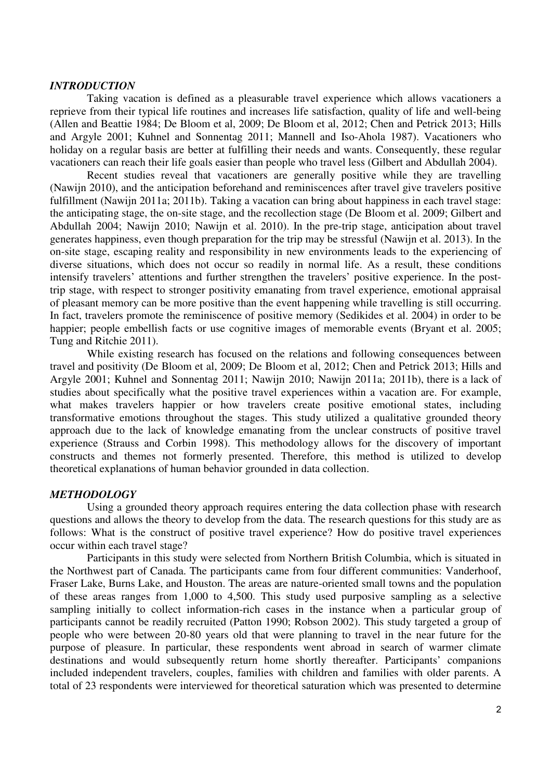#### *INTRODUCTION*

 Taking vacation is defined as a pleasurable travel experience which allows vacationers a reprieve from their typical life routines and increases life satisfaction, quality of life and well-being (Allen and Beattie 1984; De Bloom et al, 2009; De Bloom et al, 2012; Chen and Petrick 2013; Hills and Argyle 2001; Kuhnel and Sonnentag 2011; Mannell and Iso-Ahola 1987). Vacationers who holiday on a regular basis are better at fulfilling their needs and wants. Consequently, these regular vacationers can reach their life goals easier than people who travel less (Gilbert and Abdullah 2004).

 Recent studies reveal that vacationers are generally positive while they are travelling (Nawijn 2010), and the anticipation beforehand and reminiscences after travel give travelers positive fulfillment (Nawijn 2011a; 2011b). Taking a vacation can bring about happiness in each travel stage: the anticipating stage, the on-site stage, and the recollection stage (De Bloom et al. 2009; Gilbert and Abdullah 2004; Nawijn 2010; Nawijn et al. 2010). In the pre-trip stage, anticipation about travel generates happiness, even though preparation for the trip may be stressful (Nawijn et al. 2013). In the on-site stage, escaping reality and responsibility in new environments leads to the experiencing of diverse situations, which does not occur so readily in normal life. As a result, these conditions intensify travelers' attentions and further strengthen the travelers' positive experience. In the posttrip stage, with respect to stronger positivity emanating from travel experience, emotional appraisal of pleasant memory can be more positive than the event happening while travelling is still occurring. In fact, travelers promote the reminiscence of positive memory (Sedikides et al. 2004) in order to be happier; people embellish facts or use cognitive images of memorable events (Bryant et al. 2005; Tung and Ritchie 2011).

 While existing research has focused on the relations and following consequences between travel and positivity (De Bloom et al, 2009; De Bloom et al, 2012; Chen and Petrick 2013; Hills and Argyle 2001; Kuhnel and Sonnentag 2011; Nawijn 2010; Nawijn 2011a; 2011b), there is a lack of studies about specifically what the positive travel experiences within a vacation are. For example, what makes travelers happier or how travelers create positive emotional states, including transformative emotions throughout the stages. This study utilized a qualitative grounded theory approach due to the lack of knowledge emanating from the unclear constructs of positive travel experience (Strauss and Corbin 1998). This methodology allows for the discovery of important constructs and themes not formerly presented. Therefore, this method is utilized to develop theoretical explanations of human behavior grounded in data collection.

#### *METHODOLOGY*

 Using a grounded theory approach requires entering the data collection phase with research questions and allows the theory to develop from the data. The research questions for this study are as follows: What is the construct of positive travel experience? How do positive travel experiences occur within each travel stage?

 Participants in this study were selected from Northern British Columbia, which is situated in the Northwest part of Canada. The participants came from four different communities: Vanderhoof, Fraser Lake, Burns Lake, and Houston. The areas are nature-oriented small towns and the population of these areas ranges from 1,000 to 4,500. This study used purposive sampling as a selective sampling initially to collect information-rich cases in the instance when a particular group of participants cannot be readily recruited (Patton 1990; Robson 2002). This study targeted a group of people who were between 20-80 years old that were planning to travel in the near future for the purpose of pleasure. In particular, these respondents went abroad in search of warmer climate destinations and would subsequently return home shortly thereafter. Participants' companions included independent travelers, couples, families with children and families with older parents. A total of 23 respondents were interviewed for theoretical saturation which was presented to determine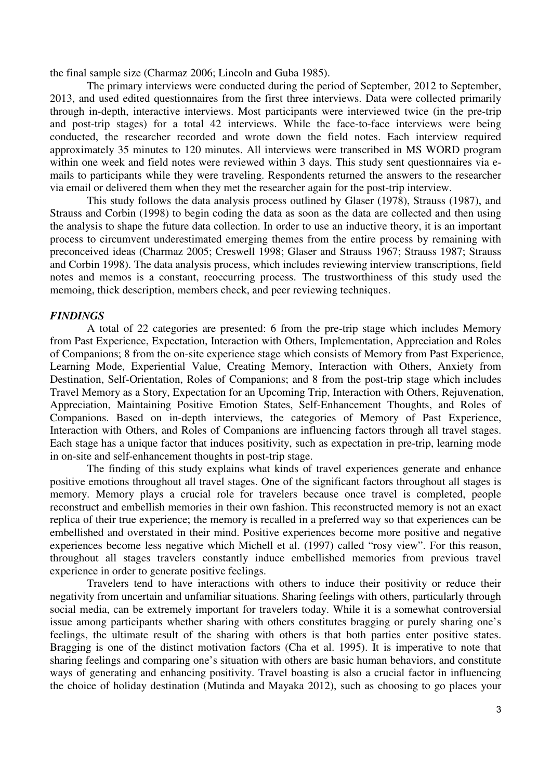the final sample size (Charmaz 2006; Lincoln and Guba 1985).

 The primary interviews were conducted during the period of September, 2012 to September, 2013, and used edited questionnaires from the first three interviews. Data were collected primarily through in-depth, interactive interviews. Most participants were interviewed twice (in the pre-trip and post-trip stages) for a total 42 interviews. While the face-to-face interviews were being conducted, the researcher recorded and wrote down the field notes. Each interview required approximately 35 minutes to 120 minutes. All interviews were transcribed in MS WORD program within one week and field notes were reviewed within 3 days. This study sent questionnaires via emails to participants while they were traveling. Respondents returned the answers to the researcher via email or delivered them when they met the researcher again for the post-trip interview.

 This study follows the data analysis process outlined by Glaser (1978), Strauss (1987), and Strauss and Corbin (1998) to begin coding the data as soon as the data are collected and then using the analysis to shape the future data collection. In order to use an inductive theory, it is an important process to circumvent underestimated emerging themes from the entire process by remaining with preconceived ideas (Charmaz 2005; Creswell 1998; Glaser and Strauss 1967; Strauss 1987; Strauss and Corbin 1998). The data analysis process, which includes reviewing interview transcriptions, field notes and memos is a constant, reoccurring process. The trustworthiness of this study used the memoing, thick description, members check, and peer reviewing techniques.

#### *FINDINGS*

 A total of 22 categories are presented: 6 from the pre-trip stage which includes Memory from Past Experience, Expectation, Interaction with Others, Implementation, Appreciation and Roles of Companions; 8 from the on-site experience stage which consists of Memory from Past Experience, Learning Mode, Experiential Value, Creating Memory, Interaction with Others, Anxiety from Destination, Self-Orientation, Roles of Companions; and 8 from the post-trip stage which includes Travel Memory as a Story, Expectation for an Upcoming Trip, Interaction with Others, Rejuvenation, Appreciation, Maintaining Positive Emotion States, Self-Enhancement Thoughts, and Roles of Companions. Based on in-depth interviews, the categories of Memory of Past Experience, Interaction with Others, and Roles of Companions are influencing factors through all travel stages. Each stage has a unique factor that induces positivity, such as expectation in pre-trip, learning mode in on-site and self-enhancement thoughts in post-trip stage.

 The finding of this study explains what kinds of travel experiences generate and enhance positive emotions throughout all travel stages. One of the significant factors throughout all stages is memory. Memory plays a crucial role for travelers because once travel is completed, people reconstruct and embellish memories in their own fashion. This reconstructed memory is not an exact replica of their true experience; the memory is recalled in a preferred way so that experiences can be embellished and overstated in their mind. Positive experiences become more positive and negative experiences become less negative which Michell et al. (1997) called "rosy view". For this reason, throughout all stages travelers constantly induce embellished memories from previous travel experience in order to generate positive feelings.

 Travelers tend to have interactions with others to induce their positivity or reduce their negativity from uncertain and unfamiliar situations. Sharing feelings with others, particularly through social media, can be extremely important for travelers today. While it is a somewhat controversial issue among participants whether sharing with others constitutes bragging or purely sharing one's feelings, the ultimate result of the sharing with others is that both parties enter positive states. Bragging is one of the distinct motivation factors (Cha et al. 1995). It is imperative to note that sharing feelings and comparing one's situation with others are basic human behaviors, and constitute ways of generating and enhancing positivity. Travel boasting is also a crucial factor in influencing the choice of holiday destination (Mutinda and Mayaka 2012), such as choosing to go places your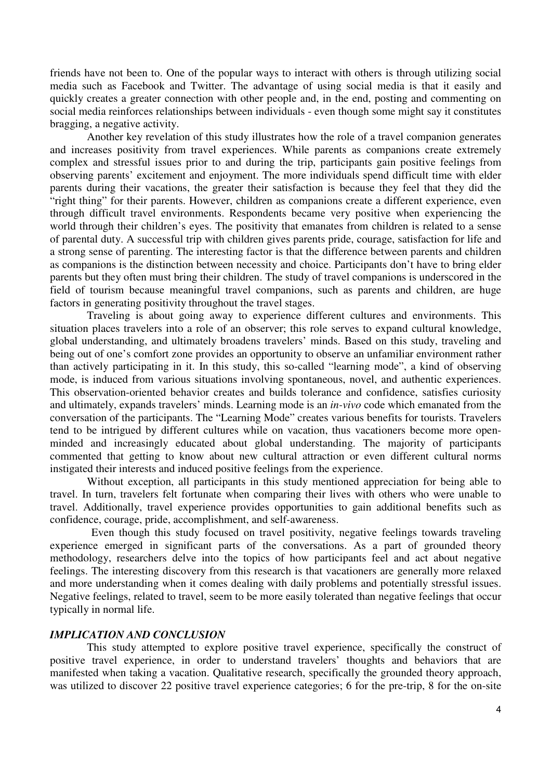friends have not been to. One of the popular ways to interact with others is through utilizing social media such as Facebook and Twitter. The advantage of using social media is that it easily and quickly creates a greater connection with other people and, in the end, posting and commenting on social media reinforces relationships between individuals - even though some might say it constitutes bragging, a negative activity.

 Another key revelation of this study illustrates how the role of a travel companion generates and increases positivity from travel experiences. While parents as companions create extremely complex and stressful issues prior to and during the trip, participants gain positive feelings from observing parents' excitement and enjoyment. The more individuals spend difficult time with elder parents during their vacations, the greater their satisfaction is because they feel that they did the "right thing" for their parents. However, children as companions create a different experience, even through difficult travel environments. Respondents became very positive when experiencing the world through their children's eyes. The positivity that emanates from children is related to a sense of parental duty. A successful trip with children gives parents pride, courage, satisfaction for life and a strong sense of parenting. The interesting factor is that the difference between parents and children as companions is the distinction between necessity and choice. Participants don't have to bring elder parents but they often must bring their children. The study of travel companions is underscored in the field of tourism because meaningful travel companions, such as parents and children, are huge factors in generating positivity throughout the travel stages.

 Traveling is about going away to experience different cultures and environments. This situation places travelers into a role of an observer; this role serves to expand cultural knowledge, global understanding, and ultimately broadens travelers' minds. Based on this study, traveling and being out of one's comfort zone provides an opportunity to observe an unfamiliar environment rather than actively participating in it. In this study, this so-called "learning mode", a kind of observing mode, is induced from various situations involving spontaneous, novel, and authentic experiences. This observation-oriented behavior creates and builds tolerance and confidence, satisfies curiosity and ultimately, expands travelers' minds. Learning mode is an *in-vivo* code which emanated from the conversation of the participants. The "Learning Mode" creates various benefits for tourists. Travelers tend to be intrigued by different cultures while on vacation, thus vacationers become more openminded and increasingly educated about global understanding. The majority of participants commented that getting to know about new cultural attraction or even different cultural norms instigated their interests and induced positive feelings from the experience.

 Without exception, all participants in this study mentioned appreciation for being able to travel. In turn, travelers felt fortunate when comparing their lives with others who were unable to travel. Additionally, travel experience provides opportunities to gain additional benefits such as confidence, courage, pride, accomplishment, and self-awareness.

 Even though this study focused on travel positivity, negative feelings towards traveling experience emerged in significant parts of the conversations. As a part of grounded theory methodology, researchers delve into the topics of how participants feel and act about negative feelings. The interesting discovery from this research is that vacationers are generally more relaxed and more understanding when it comes dealing with daily problems and potentially stressful issues. Negative feelings, related to travel, seem to be more easily tolerated than negative feelings that occur typically in normal life.

### *IMPLICATION AND CONCLUSION*

 This study attempted to explore positive travel experience, specifically the construct of positive travel experience, in order to understand travelers' thoughts and behaviors that are manifested when taking a vacation. Qualitative research, specifically the grounded theory approach, was utilized to discover 22 positive travel experience categories; 6 for the pre-trip, 8 for the on-site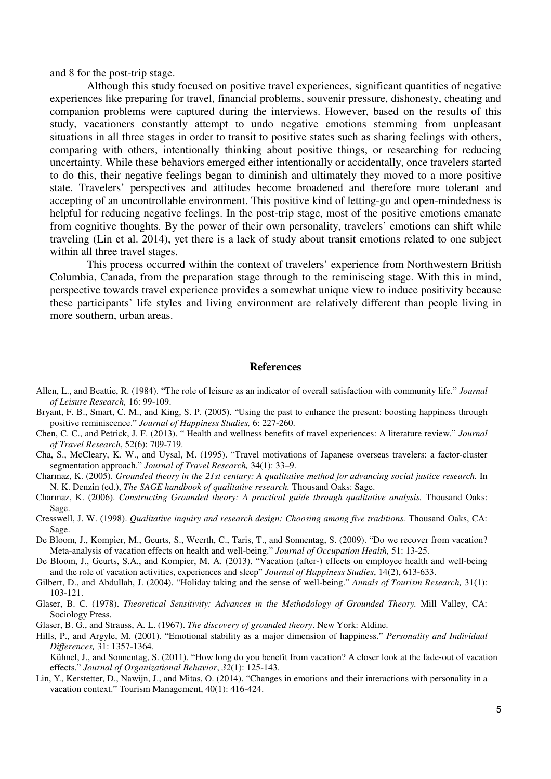and 8 for the post-trip stage.

 Although this study focused on positive travel experiences, significant quantities of negative experiences like preparing for travel, financial problems, souvenir pressure, dishonesty, cheating and companion problems were captured during the interviews. However, based on the results of this study, vacationers constantly attempt to undo negative emotions stemming from unpleasant situations in all three stages in order to transit to positive states such as sharing feelings with others, comparing with others, intentionally thinking about positive things, or researching for reducing uncertainty. While these behaviors emerged either intentionally or accidentally, once travelers started to do this, their negative feelings began to diminish and ultimately they moved to a more positive state. Travelers' perspectives and attitudes become broadened and therefore more tolerant and accepting of an uncontrollable environment. This positive kind of letting-go and open-mindedness is helpful for reducing negative feelings. In the post-trip stage, most of the positive emotions emanate from cognitive thoughts. By the power of their own personality, travelers' emotions can shift while traveling (Lin et al. 2014), yet there is a lack of study about transit emotions related to one subject within all three travel stages.

 This process occurred within the context of travelers' experience from Northwestern British Columbia, Canada, from the preparation stage through to the reminiscing stage. With this in mind, perspective towards travel experience provides a somewhat unique view to induce positivity because these participants' life styles and living environment are relatively different than people living in more southern, urban areas.

#### **References**

- Allen, L., and Beattie, R. (1984). "The role of leisure as an indicator of overall satisfaction with community life." *Journal of Leisure Research,* 16: 99-109.
- Bryant, F. B., Smart, C. M., and King, S. P. (2005). "Using the past to enhance the present: boosting happiness through positive reminiscence." *Journal of Happiness Studies,* 6: 227-260.
- Chen, C. C., and Petrick, J. F. (2013). " Health and wellness benefits of travel experiences: A literature review." *Journal of Travel Research*, 52(6): 709-719.
- Cha, S., McCleary, K. W., and Uysal, M. (1995). "Travel motivations of Japanese overseas travelers: a factor-cluster segmentation approach." *Journal of Travel Research,* 34(1): 33–9.
- Charmaz, K. (2005). *Grounded theory in the 21st century: A qualitative method for advancing social justice research.* In N. K. Denzin (ed.), *The SAGE handbook of qualitative research.* Thousand Oaks: Sage.
- Charmaz, K. (2006). *Constructing Grounded theory: A practical guide through qualitative analysis.* Thousand Oaks: Sage.
- Cresswell, J. W. (1998). *Qualitative inquiry and research design: Choosing among five traditions.* Thousand Oaks, CA: Sage.
- De Bloom, J., Kompier, M., Geurts, S., Weerth, C., Taris, T., and Sonnentag, S. (2009). "Do we recover from vacation? Meta-analysis of vacation effects on health and well-being." *Journal of Occupation Health,* 51: 13-25.
- De Bloom, J., Geurts, S.A., and Kompier, M. A. (2013). "Vacation (after-) effects on employee health and well-being and the role of vacation activities, experiences and sleep" *Journal of Happiness Studies*, 14(2), 613-633.
- Gilbert, D., and Abdullah, J. (2004). "Holiday taking and the sense of well-being." *Annals of Tourism Research,* 31(1): 103-121.
- Glaser, B. C. (1978). *Theoretical Sensitivity: Advances in the Methodology of Grounded Theory.* Mill Valley, CA: Sociology Press.
- Glaser, B. G., and Strauss, A. L. (1967). *The discovery of grounded theory*. New York: Aldine.
- Hills, P., and Argyle, M. (2001). "Emotional stability as a major dimension of happiness." *Personality and Individual Differences,* 31: 1357-1364.

Kühnel, J., and Sonnentag, S. (2011). "How long do you benefit from vacation? A closer look at the fade‐out of vacation effects." *Journal of Organizational Behavior*, *32*(1): 125-143.

Lin, Y., Kerstetter, D., Nawijn, J., and Mitas, O. (2014). "Changes in emotions and their interactions with personality in a vacation context." Tourism Management, 40(1): 416-424.